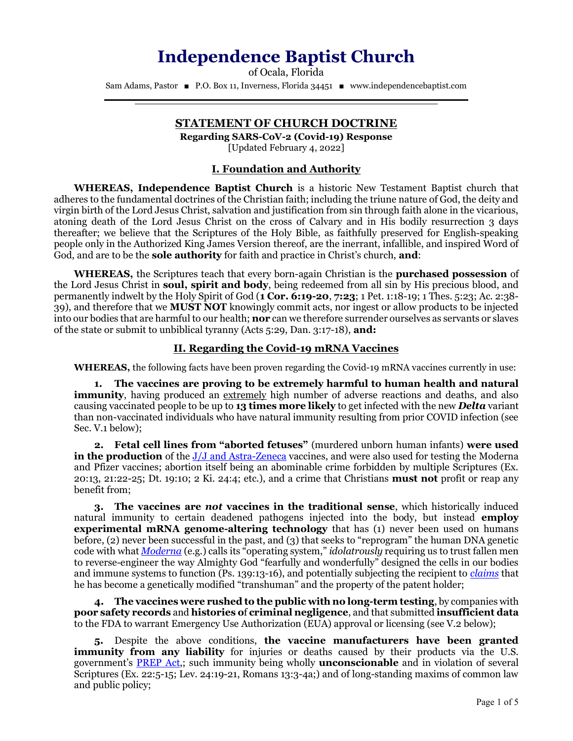# Independence Baptist Church

of Ocala, Florida Sam Adams, Pastor ■ P.O. Box 11, Inverness, Florida 34451 ■ www.independencebaptist.com

# STATEMENT OF CHURCH DOCTRINE

֒

Regarding SARS-CoV-2 (Covid-19) Response [Updated February 4, 2022]

## I. Foundation and Authority

WHEREAS, Independence Baptist Church is a historic New Testament Baptist church that adheres to the fundamental doctrines of the Christian faith; including the triune nature of God, the deity and virgin birth of the Lord Jesus Christ, salvation and justification from sin through faith alone in the vicarious, atoning death of the Lord Jesus Christ on the cross of Calvary and in His bodily resurrection 3 days thereafter; we believe that the Scriptures of the Holy Bible, as faithfully preserved for English-speaking people only in the Authorized King James Version thereof, are the inerrant, infallible, and inspired Word of God, and are to be the **sole authority** for faith and practice in Christ's church, **and**:

WHEREAS, the Scriptures teach that every born-again Christian is the **purchased possession** of the Lord Jesus Christ in **soul, spirit and body**, being redeemed from all sin by His precious blood, and permanently indwelt by the Holy Spirit of God (1 Cor. 6:19-20, 7:23; 1 Pet. 1:18-19; 1 Thes. 5:23; Ac. 2:38- 39), and therefore that we MUST NOT knowingly commit acts, nor ingest or allow products to be injected into our bodies that are harmful to our health; **nor** can we therefore surrender ourselves as servants or slaves of the state or submit to unbiblical tyranny (Acts 5:29, Dan. 3:17-18), and:

## II. Regarding the Covid-19 mRNA Vaccines

WHEREAS, the following facts have been proven regarding the Covid-19 mRNA vaccines currently in use:

1. The vaccines are proving to be extremely harmful to human health and natural immunity, having produced an extremely high number of adverse reactions and deaths, and also causing vaccinated people to be up to 13 times more likely to get infected with the new **Delta** variant than non-vaccinated individuals who have natural immunity resulting from prior COVID infection (see Sec. V.1 below);

2. Fetal cell lines from "aborted fetuses" (murdered unborn human infants) were used in the production of the [J/J and Astra-Zeneca](https://www.khou.com/article/news/verify/johnson-and-johnson-aborted-fetal-cells-verify/285-6d4fe5ba-3763-4d4e-ba32-294f3fa39020) vaccines, and were also used for testing the Moderna and Pfizer vaccines; abortion itself being an abominable crime forbidden by multiple Scriptures (Ex.  $20:13$ ,  $21:22-25$ ; Dt. 19:10; 2 Ki.  $24:4$ ; etc.), and a crime that Christians **must not** profit or reap any benefit from;

3. The vaccines are not vaccines in the traditional sense, which historically induced natural immunity to certain deadened pathogens injected into the body, but instead **employ experimental mRNA genome-altering technology** that has (1) never been used on humans before, (2) never been successful in the past, and (3) that seeks to "reprogram" the human DNA genetic code with what *[Moderna](https://www.modernatx.com/mrna-technology/mrna-platform-enabling-drug-discovery-development)* (e.g.) calls its "operating system," *idolatrously* requiring us to trust fallen men to reverse-engineer the way Almighty God "fearfully and wonderfully" designed the cells in our bodies and immune systems to function (Ps. 139:13-16), and potentially subjecting the recipient to [claims](https://winepressnews.com/2021/08/25/covid-vaccine-recipients-have-become-patented-government-property/) that he has become a genetically modified "transhuman" and the property of the patent holder;

4. The vaccines were rushed to the public with no long-term testing, by companies with poor safety records and histories of criminal negligence, and that submitted insufficient data to the FDA to warrant Emergency Use Authorization (EUA) approval or licensing (see V.2 below);

5. Despite the above conditions, the vaccine manufacturers have been granted **immunity from any liability** for injuries or deaths caused by their products via the U.S. government's **[PREP Act](https://www.phe.gov/Preparedness/legal/prepact/Pages/default.aspx)**,; such immunity being wholly **unconscionable** and in violation of several Scriptures (Ex. 22:5-15; Lev. 24:19-21, Romans 13:3-4a;) and of long-standing maxims of common law and public policy;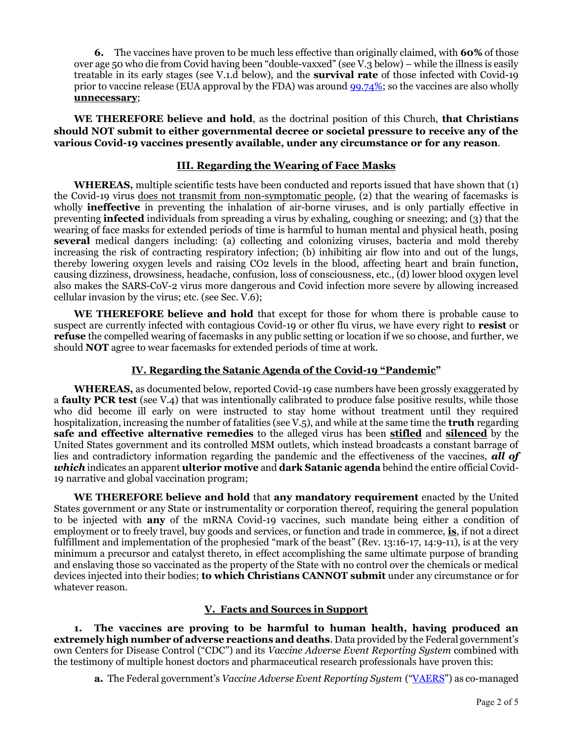6. The vaccines have proven to be much less effective than originally claimed, with 60% of those over age 50 who die from Covid having been "double-vaxxed" (see V.3 below) – while the illness is easily treatable in its early stages (see V.1.d below), and the survival rate of those infected with Covid-19 prior to vaccine release (EUA approval by the FDA) was around [99.74%;](https://www.nbc26.com/news/coronavirus/cdc-estimates-covid-19-fatality-rate-including-asymptomatic-cases) so the vaccines are also wholly unnecessary;

WE THEREFORE believe and hold, as the doctrinal position of this Church, that Christians should NOT submit to either governmental decree or societal pressure to receive any of the various Covid-19 vaccines presently available, under any circumstance or for any reason.

#### III. Regarding the Wearing of Face Masks

WHEREAS, multiple scientific tests have been conducted and reports issued that have shown that (1) the Covid-19 virus does not transmit from non-symptomatic people,  $(2)$  that the wearing of facemasks is wholly **ineffective** in preventing the inhalation of air-borne viruses, and is only partially effective in preventing **infected** individuals from spreading a virus by exhaling, coughing or sneezing; and (3) that the wearing of face masks for extended periods of time is harmful to human mental and physical heath, posing several medical dangers including: (a) collecting and colonizing viruses, bacteria and mold thereby increasing the risk of contracting respiratory infection; (b) inhibiting air flow into and out of the lungs, thereby lowering oxygen levels and raising CO2 levels in the blood, affecting heart and brain function, causing dizziness, drowsiness, headache, confusion, loss of consciousness, etc., (d) lower blood oxygen level also makes the SARS-CoV-2 virus more dangerous and Covid infection more severe by allowing increased cellular invasion by the virus; etc. (see Sec. V.6);

WE THEREFORE believe and hold that except for those for whom there is probable cause to suspect are currently infected with contagious Covid-19 or other flu virus, we have every right to **resist** or refuse the compelled wearing of facemasks in any public setting or location if we so choose, and further, we should NOT agree to wear facemasks for extended periods of time at work.

#### IV. Regarding the Satanic Agenda of the Covid-19 "Pandemic"

WHEREAS, as documented below, reported Covid-19 case numbers have been grossly exaggerated by a **faulty PCR test** (see V.4) that was intentionally calibrated to produce false positive results, while those who did become ill early on were instructed to stay home without treatment until they required hospitalization, increasing the number of fatalities (see  $V(5)$ , and while at the same time the **truth** regarding safe and effective alternative remedies to the alleged virus has been stifled and silenced by the United States government and its controlled MSM outlets, which instead broadcasts a constant barrage of lies and contradictory information regarding the pandemic and the effectiveness of the vaccines, **all of** which indicates an apparent ulterior motive and dark Satanic agenda behind the entire official Covid-19 narrative and global vaccination program;

WE THEREFORE believe and hold that any mandatory requirement enacted by the United States government or any State or instrumentality or corporation thereof, requiring the general population to be injected with any of the mRNA Covid-19 vaccines, such mandate being either a condition of employment or to freely travel, buy goods and services, or function and trade in commerce, is, if not a direct fulfillment and implementation of the prophesied "mark of the beast" (Rev. 13:16-17, 14:9-11), is at the very minimum a precursor and catalyst thereto, in effect accomplishing the same ultimate purpose of branding and enslaving those so vaccinated as the property of the State with no control over the chemicals or medical devices injected into their bodies; to which Christians CANNOT submit under any circumstance or for whatever reason.

## V. Facts and Sources in Support

1. The vaccines are proving to be harmful to human health, having produced an extremely high number of adverse reactions and deaths. Data provided by the Federal government's own Centers for Disease Control ("CDC") and its Vaccine Adverse Event Reporting System combined with the testimony of multiple honest doctors and pharmaceutical research professionals have proven this:

a. The Federal government's Vaccine Adverse Event Reporting System (["VAERS](https://vaers.hhs.gov/)") as co-managed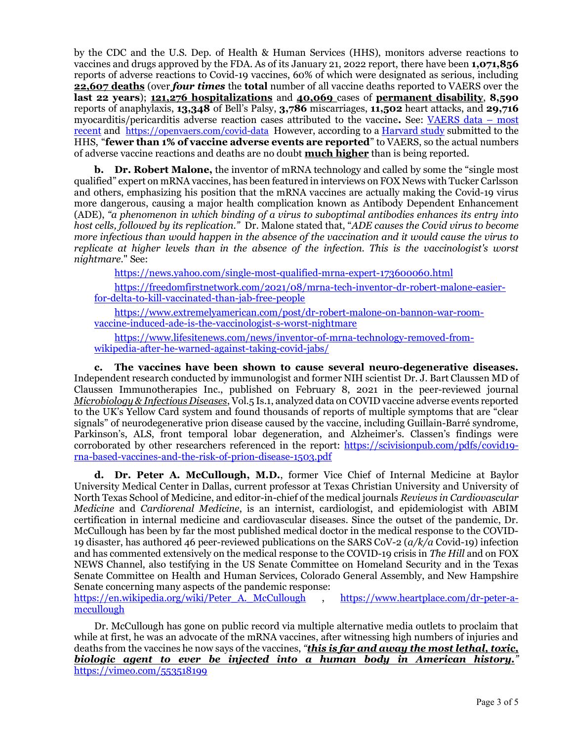by the CDC and the U.S. Dep. of Health & Human Services (HHS), monitors adverse reactions to vaccines and drugs approved by the FDA. As of its January 21, 2022 report, there have been 1,071,856 reports of adverse reactions to Covid-19 vaccines, 60% of which were designated as serious, including 22,607 deaths (over *four times* the total number of all vaccine deaths reported to VAERS over the last 22 years); 121,276 hospitalizations and 40,069 cases of permanent disability, 8,590 reports of anaphylaxis, 13,348 of Bell's Palsy, 3,786 miscarriages, 11,502 heart attacks, and 29,716 [myocarditis/pericarditis adverse reaction cases attributed to the vaccine](https://www.medalerts.org/vaersdb/findfield.php?TABLE=ON&GROUP1=CAT&EVENTS=ON&VAX=COVID19). See: VAERS data – most recent and https://openvaers.com/covid-data However, according to a [Harvard study](https://www.icandecide.org/wp-content/uploads/2020/12/Lazarus-report.pdf) submitted to the HHS, "fewer than 1% of vaccine adverse events are reported" to VAERS, so the actual numbers of adverse vaccine reactions and deaths are no doubt **much higher** than is being reported.

**b.** Dr. Robert Malone, the inventor of mRNA technology and called by some the "single most" qualified" expert on mRNA vaccines, has been featured in interviews on FOX News with Tucker Carlsson and others, emphasizing his position that the mRNA vaccines are actually making the Covid-19 virus more dangerous, causing a major health complication known as Antibody Dependent Enhancement (ADE), "a phenomenon in which binding of a virus to suboptimal antibodies enhances its entry into host cells, followed by its replication." Dr. Malone stated that, "ADE causes the Covid virus to become more infectious than would happen in the absence of the vaccination and it would cause the virus to replicate at higher levels than in the absence of the infection. This is the vaccinologist's worst nightmare." See:

https://news.yahoo.com/single-most-qualified-mrna-expert-173600060.html

https://freedomfirstnetwork.com/2021/08/mrna-tech-inventor-dr-robert-malone-easierfor-delta-to-kill-vaccinated-than-jab-free-people

https://www.extremelyamerican.com/post/dr-robert-malone-on-bannon-war-roomvaccine-induced-ade-is-the-vaccinologist-s-worst-nightmare

https://www.lifesitenews.com/news/inventor-of-mrna-technology-removed-fromwikipedia-after-he-warned-against-taking-covid-jabs/

c. The vaccines have been shown to cause several neuro-degenerative diseases. Independent research conducted by immunologist and former NIH scientist Dr. J. Bart Claussen MD of Claussen Immunotherapies Inc., published on February 8, 2021 in the peer-reviewed journal Microbiology & Infectious Diseases, Vol.5 Is.1, analyzed data on COVID vaccine adverse events reported to the UK's Yellow Card system and found thousands of reports of multiple symptoms that are "clear signals" of neurodegenerative prion disease caused by the vaccine, including Guillain-Barré syndrome, Parkinson's, ALS, front temporal lobar degeneration, and Alzheimer's. Classen's findings were corroborated by other researchers referenced in the report: https://scivisionpub.com/pdfs/covid19 rna-based-vaccines-and-the-risk-of-prion-disease-1503.pdf

d. Dr. Peter A. McCullough, M.D., former Vice Chief of Internal Medicine at Baylor University Medical Center in Dallas, current professor at Texas Christian University and University of North Texas School of Medicine, and editor-in-chief of the medical journals Reviews in Cardiovascular Medicine and Cardiorenal Medicine, is an internist, cardiologist, and epidemiologist with ABIM certification in internal medicine and cardiovascular diseases. Since the outset of the pandemic, Dr. McCullough has been by far the most published medical doctor in the medical response to the COVID-19 disaster, has authored 46 peer-reviewed publications on the SARS CoV-2  $(a/k/a)$  Covid-19) infection and has commented extensively on the medical response to the COVID-19 crisis in The Hill and on FOX NEWS Channel, also testifying in the US Senate Committee on Homeland Security and in the Texas Senate Committee on Health and Human Services, Colorado General Assembly, and New Hampshire Senate concerning many aspects of the pandemic response:

https://en.wikipedia.org/wiki/Peter\_A.\_McCullough , https://www.heartplace.com/dr-peter-amccullough

Dr. McCullough has gone on public record via multiple alternative media outlets to proclaim that while at first, he was an advocate of the mRNA vaccines, after witnessing high numbers of injuries and deaths from the vaccines he now says of the vaccines, "this is far and away the most lethal, toxic, biologic agent to ever be injected into a human body in American history." https://vimeo.com/553518199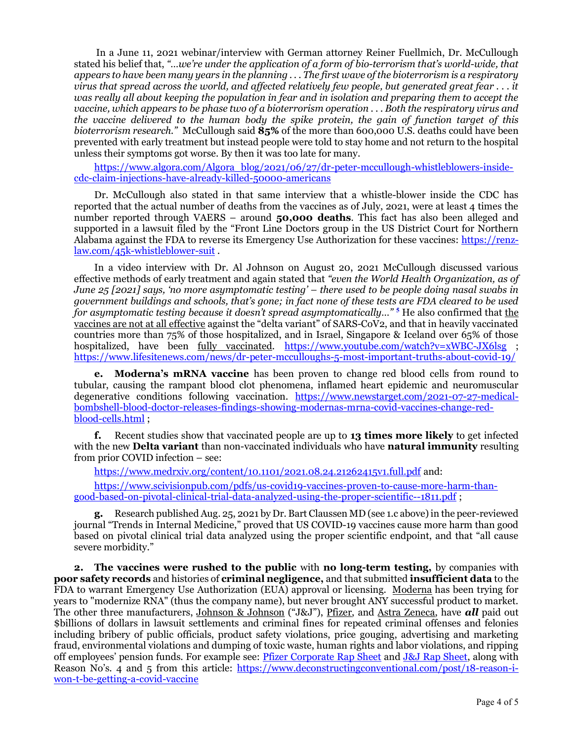In a June 11, 2021 webinar/interview with German attorney Reiner Fuellmich, Dr. McCullough stated his belief that, "…we're under the application of a form of bio-terrorism that's world-wide, that appears to have been many years in the planning . . . The first wave of the bioterrorism is a respiratory virus that spread across the world, and affected relatively few people, but generated great fear . . . it was really all about keeping the population in fear and in isolation and preparing them to accept the vaccine, which appears to be phase two of a bioterrorism operation . . . Both the respiratory virus and the vaccine delivered to the human body the spike protein, the gain of function target of this bioterrorism research." McCullough said  $85\%$  of the more than 600,000 U.S. deaths could have been prevented with early treatment but instead people were told to stay home and not return to the hospital unless their symptoms got worse. By then it was too late for many.

https://www.algora.com/Algora\_blog/2021/06/27/dr-peter-mccullough-whistleblowers-insidecdc-claim-injections-have-already-killed-50000-americans

Dr. McCullough also stated in that same interview that a whistle-blower inside the CDC has reported that the actual number of deaths from the vaccines as of July, 2021, were at least 4 times the number reported through VAERS – around 50,000 deaths. This fact has also been alleged and supported in a lawsuit filed by the "Front Line Doctors group in the US District Court for Northern Alabama against the FDA to reverse its Emergency Use Authorization for these vaccines: https://renzlaw.com/45k-whistleblower-suit .

In a video interview with Dr. Al Johnson on August 20, 2021 McCullough discussed various effective methods of early treatment and again stated that "even the World Health Organization, as of June 25 [2021] says, 'no more asymptomatic testing' – there used to be people doing nasal swabs in government buildings and schools, that's gone; in fact none of these tests are FDA cleared to be used for asymptomatic testing because it doesn't spread asymptomatically..." <sup>5</sup> He also confirmed that <u>the</u> vaccines are not at all effective against the "delta variant" of SARS-CoV2, and that in heavily vaccinated countries more than 75% of those hospitalized, and in Israel, Singapore & Iceland over 65% of those hospitalized, have been fully vaccinated. https://www.youtube.com/watch?v=xWBC-JX6lsg ; https://www.lifesitenews.com/news/dr-peter-mcculloughs-5-most-important-truths-about-covid-19/

e. Moderna's mRNA vaccine has been proven to change red blood cells from round to tubular, causing the rampant blood clot phenomena, inflamed heart epidemic and neuromuscular degenerative conditions following vaccination. https://www.newstarget.com/2021-07-27-medicalbombshell-blood-doctor-releases-findings-showing-modernas-mrna-covid-vaccines-change-redblood-cells.html ;

f. Recent studies show that vaccinated people are up to 13 times more likely to get infected with the new **Delta variant** than non-vaccinated individuals who have **natural immunity** resulting from prior COVID infection – see:

https://www.medrxiv.org/content/10.1101/2021.08.24.21262415v1.full.pdf and:

https://www.scivisionpub.com/pdfs/us-covid19-vaccines-proven-to-cause-more-harm-thangood-based-on-pivotal-clinical-trial-data-analyzed-using-the-proper-scientific--1811.pdf ;

g. Research published Aug. 25, 2021 by Dr. Bart Claussen MD (see 1.c above) in the peer-reviewed journal "Trends in Internal Medicine," proved that US COVID-19 vaccines cause more harm than good based on pivotal clinical trial data analyzed using the proper scientific endpoint, and that "all cause severe morbidity."

2. The vaccines were rushed to the public with no long-term testing, by companies with poor safety records and histories of criminal negligence, and that submitted insufficient data to the FDA to warrant Emergency Use Authorization (EUA) approval or licensing. Moderna has been trying for years to "modernize RNA" (thus the company name), but never brought ANY successful product to market. The other three manufacturers, Johnson & Johnson ("J&J"), Pfizer, and Astra Zeneca, have all paid out \$billions of dollars in lawsuit settlements and criminal fines for repeated criminal offenses and felonies including bribery of public officials, product safety violations, price gouging, advertising and marketing fraud, environmental violations and dumping of toxic waste, human rights and labor violations, and ripping off employees' pension funds. For example see: Pfizer Corporate Rap Sheet and J&J Rap Sheet, along with Reason No's. 4 and 5 from this article: https://www.deconstructingconventional.com/post/18-reason-iwon-t-be-getting-a-covid-vaccine